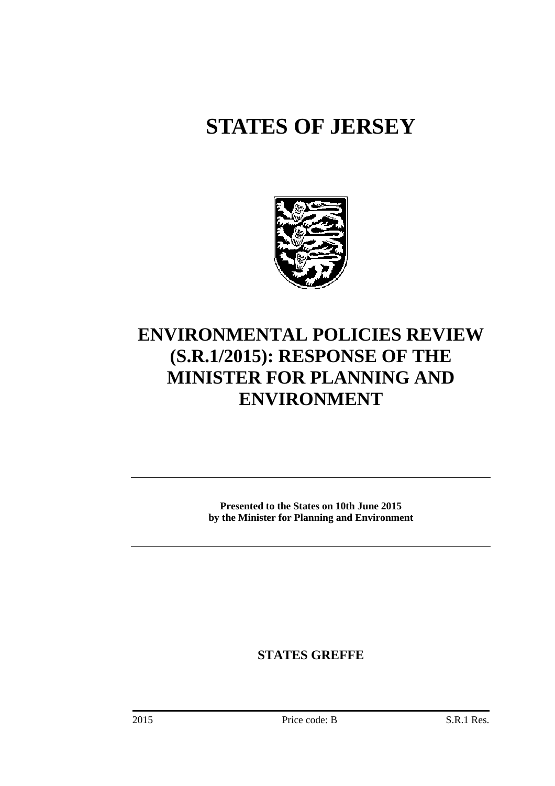# **STATES OF JERSEY**



# **ENVIRONMENTAL POLICIES REVIEW (S.R.1/2015): RESPONSE OF THE MINISTER FOR PLANNING AND ENVIRONMENT**

**Presented to the States on 10th June 2015 by the Minister for Planning and Environment** 

**STATES GREFFE**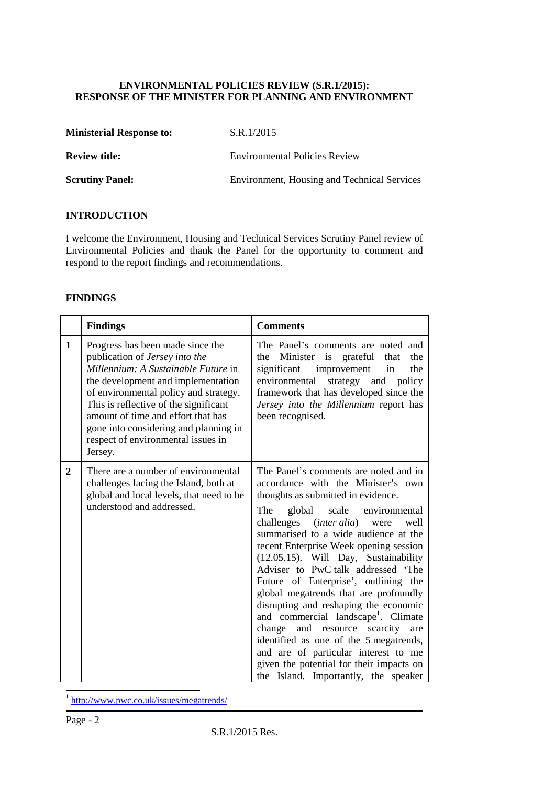#### **ENVIRONMENTAL POLICIES REVIEW (S.R.1/2015): RESPONSE OF THE MINISTER FOR PLANNING AND ENVIRONMENT**

| <b>Ministerial Response to:</b> | S.R.1/2015                                  |
|---------------------------------|---------------------------------------------|
| <b>Review title:</b>            | <b>Environmental Policies Review</b>        |
| <b>Scrutiny Panel:</b>          | Environment, Housing and Technical Services |

#### **INTRODUCTION**

I welcome the Environment, Housing and Technical Services Scrutiny Panel review of Environmental Policies and thank the Panel for the opportunity to comment and respond to the report findings and recommendations.

#### **FINDINGS**

|                | <b>Findings</b>                                                                                                                                                                                                                                                                                                                                                   | <b>Comments</b>                                                                                                                                                                                                                                                                                                                                                                                                                                                                                                                                                                                                                                                                                                                                          |  |
|----------------|-------------------------------------------------------------------------------------------------------------------------------------------------------------------------------------------------------------------------------------------------------------------------------------------------------------------------------------------------------------------|----------------------------------------------------------------------------------------------------------------------------------------------------------------------------------------------------------------------------------------------------------------------------------------------------------------------------------------------------------------------------------------------------------------------------------------------------------------------------------------------------------------------------------------------------------------------------------------------------------------------------------------------------------------------------------------------------------------------------------------------------------|--|
| $\mathbf{1}$   | Progress has been made since the<br>publication of Jersey into the<br>Millennium: A Sustainable Future in<br>the development and implementation<br>of environmental policy and strategy.<br>This is reflective of the significant<br>amount of time and effort that has<br>gone into considering and planning in<br>respect of environmental issues in<br>Jersey. | The Panel's comments are noted and<br>the Minister is grateful that<br>the<br>significant<br>improvement<br>the<br>in<br>environmental<br>strategy and policy<br>framework that has developed since the<br>Jersey into the Millennium report has<br>been recognised.                                                                                                                                                                                                                                                                                                                                                                                                                                                                                     |  |
| $\overline{2}$ | There are a number of environmental<br>challenges facing the Island, both at<br>global and local levels, that need to be<br>understood and addressed.                                                                                                                                                                                                             | The Panel's comments are noted and in<br>accordance with the Minister's own<br>thoughts as submitted in evidence.<br>The<br>global scale environmental<br>challenges (inter alia) were<br>well<br>summarised to a wide audience at the<br>recent Enterprise Week opening session<br>(12.05.15). Will Day, Sustainability<br>Adviser to PwC talk addressed 'The<br>Future of Enterprise', outlining the<br>global megatrends that are profoundly<br>disrupting and reshaping the economic<br>and commercial landscape <sup>1</sup> . Climate<br>change and resource scarcity<br>are<br>identified as one of the 5 megatrends,<br>and are of particular interest to me<br>given the potential for their impacts on<br>the Island. Importantly, the speaker |  |

<sup>1</sup> http://www.pwc.co.uk/issues/megatrends/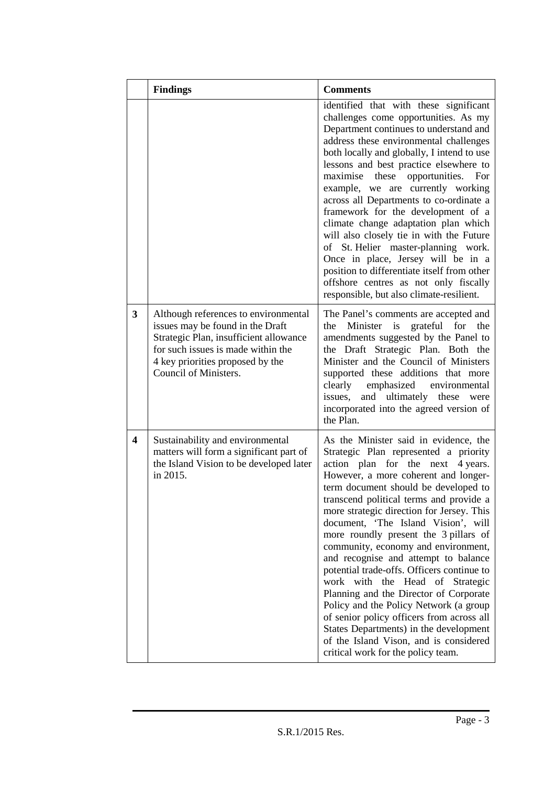|                         | <b>Findings</b>                                                                                                                                                                                                       | <b>Comments</b>                                                                                                                                                                                                                                                                                                                                                                                                                                                                                                                                                                                                                                                                                                                                                                                           |
|-------------------------|-----------------------------------------------------------------------------------------------------------------------------------------------------------------------------------------------------------------------|-----------------------------------------------------------------------------------------------------------------------------------------------------------------------------------------------------------------------------------------------------------------------------------------------------------------------------------------------------------------------------------------------------------------------------------------------------------------------------------------------------------------------------------------------------------------------------------------------------------------------------------------------------------------------------------------------------------------------------------------------------------------------------------------------------------|
|                         |                                                                                                                                                                                                                       | identified that with these significant<br>challenges come opportunities. As my<br>Department continues to understand and<br>address these environmental challenges<br>both locally and globally, I intend to use<br>lessons and best practice elsewhere to<br>maximise these opportunities.<br>For<br>example, we are currently working<br>across all Departments to co-ordinate a<br>framework for the development of a<br>climate change adaptation plan which<br>will also closely tie in with the Future<br>of St. Helier master-planning work.<br>Once in place, Jersey will be in a<br>position to differentiate itself from other<br>offshore centres as not only fiscally<br>responsible, but also climate-resilient.                                                                             |
| 3                       | Although references to environmental<br>issues may be found in the Draft<br>Strategic Plan, insufficient allowance<br>for such issues is made within the<br>4 key priorities proposed by the<br>Council of Ministers. | The Panel's comments are accepted and<br>Minister is<br>the<br>grateful<br>for<br>the<br>amendments suggested by the Panel to<br>the Draft Strategic Plan. Both the<br>Minister and the Council of Ministers<br>supported these additions that more<br>clearly<br>emphasized<br>environmental<br>and ultimately these<br>issues,<br>were<br>incorporated into the agreed version of<br>the Plan.                                                                                                                                                                                                                                                                                                                                                                                                          |
| $\overline{\mathbf{4}}$ | Sustainability and environmental<br>matters will form a significant part of<br>the Island Vision to be developed later<br>in 2015.                                                                                    | As the Minister said in evidence, the<br>Strategic Plan represented a priority<br>action plan for the next<br>4 years.<br>However, a more coherent and longer-<br>term document should be developed to<br>transcend political terms and provide a<br>more strategic direction for Jersey. This<br>document, 'The Island Vision', will<br>more roundly present the 3 pillars of<br>community, economy and environment,<br>and recognise and attempt to balance<br>potential trade-offs. Officers continue to<br>work with the Head of Strategic<br>Planning and the Director of Corporate<br>Policy and the Policy Network (a group<br>of senior policy officers from across all<br>States Departments) in the development<br>of the Island Vison, and is considered<br>critical work for the policy team. |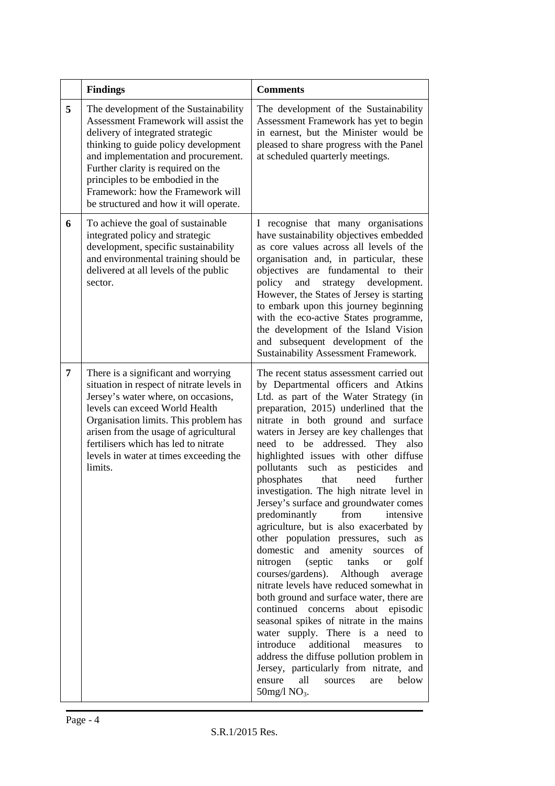|   | <b>Findings</b>                                                                                                                                                                                                                                                                                                                                           | <b>Comments</b>                                                                                                                                                                                                                                                                                                                                                                                                                                                                                                                                                                                                                                                                                                                                                                                                                                                                                                                                                                                                                                                                                                                                                                                                          |
|---|-----------------------------------------------------------------------------------------------------------------------------------------------------------------------------------------------------------------------------------------------------------------------------------------------------------------------------------------------------------|--------------------------------------------------------------------------------------------------------------------------------------------------------------------------------------------------------------------------------------------------------------------------------------------------------------------------------------------------------------------------------------------------------------------------------------------------------------------------------------------------------------------------------------------------------------------------------------------------------------------------------------------------------------------------------------------------------------------------------------------------------------------------------------------------------------------------------------------------------------------------------------------------------------------------------------------------------------------------------------------------------------------------------------------------------------------------------------------------------------------------------------------------------------------------------------------------------------------------|
| 5 | The development of the Sustainability<br>Assessment Framework will assist the<br>delivery of integrated strategic<br>thinking to guide policy development<br>and implementation and procurement.<br>Further clarity is required on the<br>principles to be embodied in the<br>Framework: how the Framework will<br>be structured and how it will operate. | The development of the Sustainability<br>Assessment Framework has yet to begin<br>in earnest, but the Minister would be<br>pleased to share progress with the Panel<br>at scheduled quarterly meetings.                                                                                                                                                                                                                                                                                                                                                                                                                                                                                                                                                                                                                                                                                                                                                                                                                                                                                                                                                                                                                  |
| 6 | To achieve the goal of sustainable<br>integrated policy and strategic<br>development, specific sustainability<br>and environmental training should be<br>delivered at all levels of the public<br>sector.                                                                                                                                                 | I recognise that many organisations<br>have sustainability objectives embedded<br>as core values across all levels of the<br>organisation and, in particular, these<br>objectives are fundamental to their<br>policy<br>strategy development.<br>and<br>However, the States of Jersey is starting<br>to embark upon this journey beginning<br>with the eco-active States programme,<br>the development of the Island Vision<br>and subsequent development of the<br>Sustainability Assessment Framework.                                                                                                                                                                                                                                                                                                                                                                                                                                                                                                                                                                                                                                                                                                                 |
| 7 | There is a significant and worrying<br>situation in respect of nitrate levels in<br>Jersey's water where, on occasions,<br>levels can exceed World Health<br>Organisation limits. This problem has<br>arisen from the usage of agricultural<br>fertilisers which has led to nitrate<br>levels in water at times exceeding the<br>limits.                  | The recent status assessment carried out<br>by Departmental officers and Atkins<br>Ltd. as part of the Water Strategy (in<br>preparation, 2015) underlined that the<br>nitrate in both ground and surface<br>waters in Jersey are key challenges that<br>to be addressed.<br>They<br>need<br>also<br>highlighted issues with other diffuse<br>such as<br>pollutants<br>pesticides<br>and<br>phosphates<br>that<br>need<br>further<br>investigation. The high nitrate level in<br>Jersey's surface and groundwater comes<br>predominantly<br>from<br>intensive<br>agriculture, but is also exacerbated by<br>other population pressures, such as<br>domestic<br>and amenity sources<br>of<br>nitrogen<br>(septic<br>tanks<br>golf<br><b>or</b><br>courses/gardens). Although<br>average<br>nitrate levels have reduced somewhat in<br>both ground and surface water, there are<br>continued concerns<br>about<br>episodic<br>seasonal spikes of nitrate in the mains<br>water supply. There is a need<br>to<br>introduce<br>additional<br>measures<br>to<br>address the diffuse pollution problem in<br>Jersey, particularly from nitrate, and<br>ensure<br>all<br>sources<br>below<br>are<br>$50$ mg/l NO <sub>3</sub> . |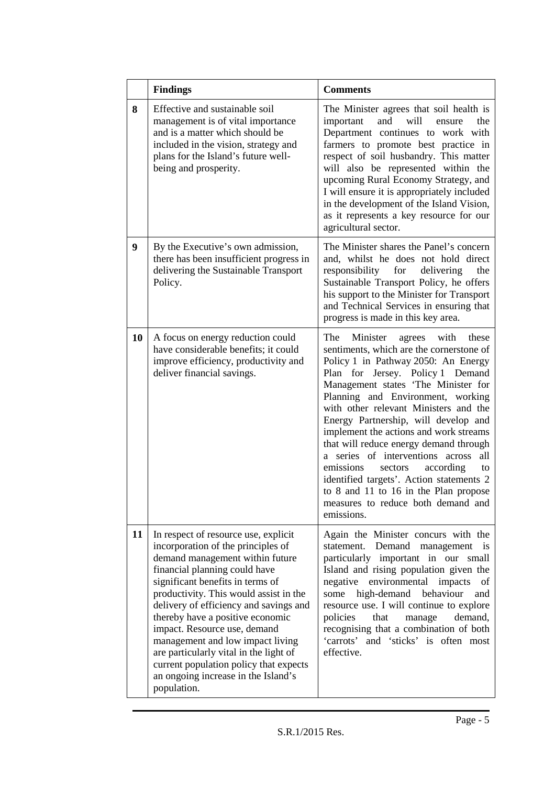|    | <b>Findings</b>                                                                                                                                                                                                                                                                                                                                                                                                                                                                                                          | <b>Comments</b>                                                                                                                                                                                                                                                                                                                                                                                                                                                                                                                                                                                                                                |
|----|--------------------------------------------------------------------------------------------------------------------------------------------------------------------------------------------------------------------------------------------------------------------------------------------------------------------------------------------------------------------------------------------------------------------------------------------------------------------------------------------------------------------------|------------------------------------------------------------------------------------------------------------------------------------------------------------------------------------------------------------------------------------------------------------------------------------------------------------------------------------------------------------------------------------------------------------------------------------------------------------------------------------------------------------------------------------------------------------------------------------------------------------------------------------------------|
| 8  | Effective and sustainable soil<br>management is of vital importance<br>and is a matter which should be<br>included in the vision, strategy and<br>plans for the Island's future well-<br>being and prosperity.                                                                                                                                                                                                                                                                                                           | The Minister agrees that soil health is<br>and<br>will<br>important<br>the<br>ensure<br>Department continues to work with<br>farmers to promote best practice in<br>respect of soil husbandry. This matter<br>will also be represented within the<br>upcoming Rural Economy Strategy, and<br>I will ensure it is appropriately included<br>in the development of the Island Vision,<br>as it represents a key resource for our<br>agricultural sector.                                                                                                                                                                                         |
| 9  | By the Executive's own admission,<br>there has been insufficient progress in<br>delivering the Sustainable Transport<br>Policy.                                                                                                                                                                                                                                                                                                                                                                                          | The Minister shares the Panel's concern<br>and, whilst he does not hold direct<br>for<br>delivering<br>responsibility<br>the<br>Sustainable Transport Policy, he offers<br>his support to the Minister for Transport<br>and Technical Services in ensuring that<br>progress is made in this key area.                                                                                                                                                                                                                                                                                                                                          |
| 10 | A focus on energy reduction could<br>have considerable benefits; it could<br>improve efficiency, productivity and<br>deliver financial savings.                                                                                                                                                                                                                                                                                                                                                                          | The<br>Minister<br>agrees with<br>these<br>sentiments, which are the cornerstone of<br>Policy 1 in Pathway 2050: An Energy<br>Plan for Jersey. Policy 1 Demand<br>Management states 'The Minister for<br>Planning and Environment, working<br>with other relevant Ministers and the<br>Energy Partnership, will develop and<br>implement the actions and work streams<br>that will reduce energy demand through<br>a series of interventions across<br>all<br>emissions<br>according<br>sectors<br>to<br>identified targets'. Action statements 2<br>to 8 and 11 to 16 in the Plan propose<br>measures to reduce both demand and<br>emissions. |
| 11 | In respect of resource use, explicit<br>incorporation of the principles of<br>demand management within future<br>financial planning could have<br>significant benefits in terms of<br>productivity. This would assist in the<br>delivery of efficiency and savings and<br>thereby have a positive economic<br>impact. Resource use, demand<br>management and low impact living<br>are particularly vital in the light of<br>current population policy that expects<br>an ongoing increase in the Island's<br>population. | Again the Minister concurs with the<br>statement. Demand<br>management is<br>particularly important in our small<br>Island and rising population given the<br>negative<br>environmental<br>impacts<br>of<br>high-demand<br>behaviour<br>some<br>and<br>resource use. I will continue to explore<br>policies<br>that<br>manage<br>demand,<br>recognising that a combination of both<br>'carrots' and 'sticks' is often most<br>effective.                                                                                                                                                                                                       |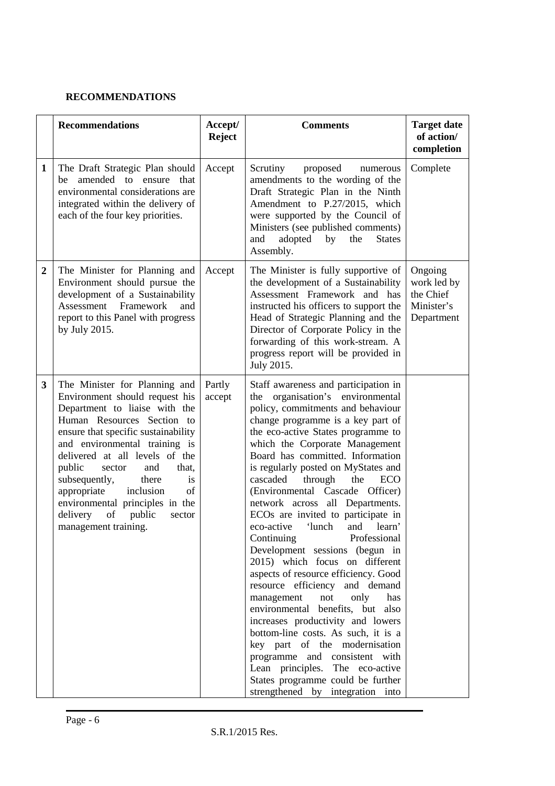## **RECOMMENDATIONS**

|                  | <b>Recommendations</b>                                                                                                                                                                                                                                                                                                                                                                                                                          | Accept/<br><b>Reject</b> | <b>Comments</b>                                                                                                                                                                                                                                                                                                                                                                                                                                                                                                                                                                                                                                                                                                                                                                                                                                                                                                                                                                                                                  | <b>Target date</b><br>of action/<br>completion                  |
|------------------|-------------------------------------------------------------------------------------------------------------------------------------------------------------------------------------------------------------------------------------------------------------------------------------------------------------------------------------------------------------------------------------------------------------------------------------------------|--------------------------|----------------------------------------------------------------------------------------------------------------------------------------------------------------------------------------------------------------------------------------------------------------------------------------------------------------------------------------------------------------------------------------------------------------------------------------------------------------------------------------------------------------------------------------------------------------------------------------------------------------------------------------------------------------------------------------------------------------------------------------------------------------------------------------------------------------------------------------------------------------------------------------------------------------------------------------------------------------------------------------------------------------------------------|-----------------------------------------------------------------|
| 1                | The Draft Strategic Plan should<br>amended to ensure<br>that<br>be<br>environmental considerations are<br>integrated within the delivery of<br>each of the four key priorities.                                                                                                                                                                                                                                                                 | Accept                   | Scrutiny<br>proposed<br>numerous<br>amendments to the wording of the<br>Draft Strategic Plan in the Ninth<br>Amendment to P.27/2015, which<br>were supported by the Council of<br>Ministers (see published comments)<br>adopted<br>the<br><b>States</b><br>and<br>by<br>Assembly.                                                                                                                                                                                                                                                                                                                                                                                                                                                                                                                                                                                                                                                                                                                                                | Complete                                                        |
| $\boldsymbol{2}$ | The Minister for Planning and<br>Environment should pursue the<br>development of a Sustainability<br>Assessment<br>Framework<br>and<br>report to this Panel with progress<br>by July 2015.                                                                                                                                                                                                                                                      | Accept                   | The Minister is fully supportive of<br>the development of a Sustainability<br>Assessment Framework and has<br>instructed his officers to support the<br>Head of Strategic Planning and the<br>Director of Corporate Policy in the<br>forwarding of this work-stream. A<br>progress report will be provided in<br>July 2015.                                                                                                                                                                                                                                                                                                                                                                                                                                                                                                                                                                                                                                                                                                      | Ongoing<br>work led by<br>the Chief<br>Minister's<br>Department |
| 3                | The Minister for Planning and<br>Environment should request his<br>Department to liaise with the<br>Human Resources Section to<br>ensure that specific sustainability<br>and environmental training is<br>delivered at all levels of the<br>public<br>sector<br>and<br>that,<br>subsequently,<br>there<br>is<br>appropriate<br>inclusion<br>of<br>environmental principles in the<br>delivery<br>of<br>public<br>sector<br>management training. | Partly<br>accept         | Staff awareness and participation in<br>the organisation's environmental<br>policy, commitments and behaviour<br>change programme is a key part of<br>the eco-active States programme to<br>which the Corporate Management<br>Board has committed. Information<br>is regularly posted on MyStates and<br>cascaded<br>through<br>the<br><b>ECO</b><br>(Environmental Cascade Officer)<br>network across all Departments.<br>ECO <sub>s</sub> are invited to participate in<br>'lunch<br>and<br>learn'<br>eco-active<br>Professional<br>Continuing<br>Development sessions (begun in<br>2015) which focus on different<br>aspects of resource efficiency. Good<br>resource efficiency and demand<br>only<br>management<br>not<br>has<br>environmental benefits, but also<br>increases productivity and lowers<br>bottom-line costs. As such, it is a<br>key part of the modernisation<br>programme and consistent with<br>Lean principles. The eco-active<br>States programme could be further<br>strengthened by integration into |                                                                 |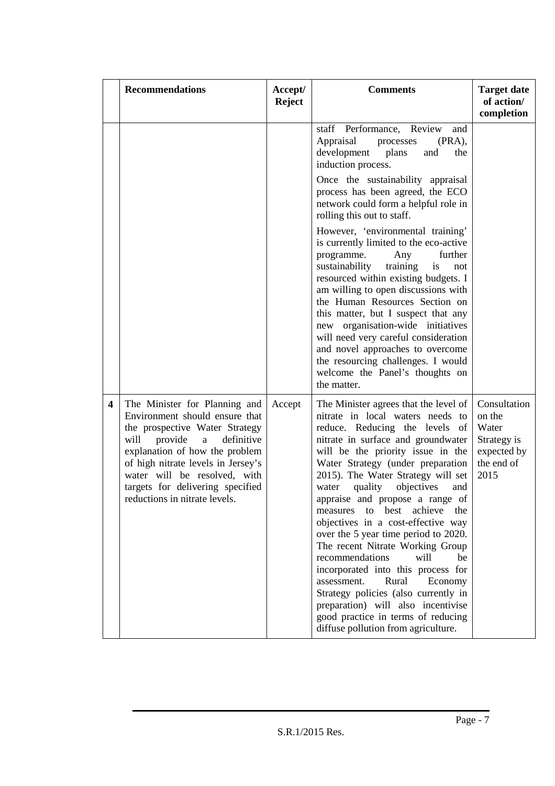|                         | <b>Recommendations</b>                                                                                                                                                                                                                                                                                               | Accept/<br><b>Reject</b> | <b>Comments</b>                                                                                                                                                                                                                                                                                                                                                                                                                                                                                                                                                                                                                                                                                                                                                               | <b>Target date</b><br>of action/<br>completion                                      |
|-------------------------|----------------------------------------------------------------------------------------------------------------------------------------------------------------------------------------------------------------------------------------------------------------------------------------------------------------------|--------------------------|-------------------------------------------------------------------------------------------------------------------------------------------------------------------------------------------------------------------------------------------------------------------------------------------------------------------------------------------------------------------------------------------------------------------------------------------------------------------------------------------------------------------------------------------------------------------------------------------------------------------------------------------------------------------------------------------------------------------------------------------------------------------------------|-------------------------------------------------------------------------------------|
|                         |                                                                                                                                                                                                                                                                                                                      |                          | Performance, Review<br>staff<br>and<br>Appraisal<br>$(PRA)$ ,<br>processes<br>development<br>plans<br>and<br>the<br>induction process.<br>Once the sustainability appraisal<br>process has been agreed, the ECO<br>network could form a helpful role in<br>rolling this out to staff.                                                                                                                                                                                                                                                                                                                                                                                                                                                                                         |                                                                                     |
|                         |                                                                                                                                                                                                                                                                                                                      |                          | However, 'environmental training'<br>is currently limited to the eco-active<br>further<br>programme.<br>Any<br>sustainability<br>is<br>training<br>not<br>resourced within existing budgets. I<br>am willing to open discussions with<br>the Human Resources Section on<br>this matter, but I suspect that any<br>new organisation-wide initiatives<br>will need very careful consideration<br>and novel approaches to overcome<br>the resourcing challenges. I would<br>welcome the Panel's thoughts on<br>the matter.                                                                                                                                                                                                                                                       |                                                                                     |
| $\overline{\mathbf{4}}$ | The Minister for Planning and<br>Environment should ensure that<br>the prospective Water Strategy<br>will<br>provide<br>definitive<br>a<br>explanation of how the problem<br>of high nitrate levels in Jersey's<br>water will be resolved, with<br>targets for delivering specified<br>reductions in nitrate levels. | Accept                   | The Minister agrees that the level of<br>nitrate in local waters needs to<br>reduce. Reducing the levels of<br>nitrate in surface and groundwater<br>will be the priority issue in the<br>Water Strategy (under preparation<br>2015). The Water Strategy will set<br>quality<br>objectives<br>water<br>and<br>appraise and propose a range of<br>best achieve<br>the<br>measures<br>to<br>objectives in a cost-effective way<br>over the 5 year time period to 2020.<br>The recent Nitrate Working Group<br>recommendations<br>will<br>be<br>incorporated into this process for<br>assessment.<br>Rural<br>Economy<br>Strategy policies (also currently in<br>preparation) will also incentivise<br>good practice in terms of reducing<br>diffuse pollution from agriculture. | Consultation<br>on the<br>Water<br>Strategy is<br>expected by<br>the end of<br>2015 |